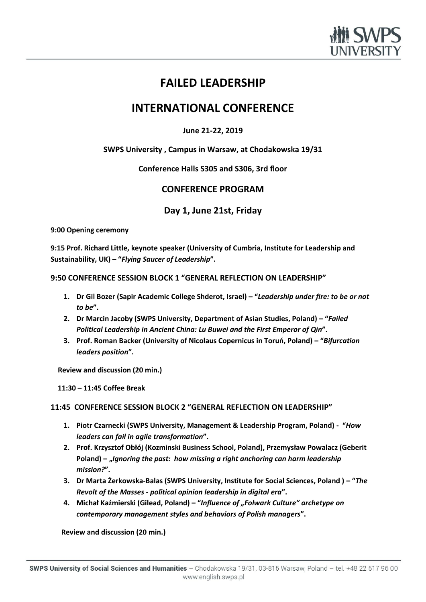

# **FAILED LEADERSHIP**

# **INTERNATIONAL CONFERENCE**

## **June 21-22, 2019**

**SWPS University , Campus in Warsaw, at Chodakowska 19/31**

**Conference Halls S305 and S306, 3rd floor**

# **CONFERENCE PROGRAM**

**Day 1, June 21st, Friday**

**9:00 Opening ceremony** 

**9:15 Prof. Richard Little, keynote speaker (University of Cumbria, Institute for Leadership and Sustainability, UK) – "***Flying Saucer of Leadership***".**

## **9:50 CONFERENCE SESSION BLOCK 1 "GENERAL REFLECTION ON LEADERSHIP"**

- **1. Dr Gil Bozer (Sapir Academic College Shderot, Israel) – "***Leadership under fire: to be or not to be***".**
- **2. Dr Marcin Jacoby (SWPS University, Department of Asian Studies, Poland) – "***Failed Political Leadership in Ancient China: Lu Buwei and the First Emperor of Qin***".**
- **3. Prof. Roman Backer (University of Nicolaus Copernicus in Toruń, Poland) – "***Bifurcation leaders position***".**

 **Review and discussion (20 min.)**

 **11:30 – 11:45 Coffee Break** 

## **11:45 CONFERENCE SESSION BLOCK 2 "GENERAL REFLECTION ON LEADERSHIP"**

- **1. Piotr Czarnecki (SWPS University, Management & Leadership Program, Poland) "***How leaders can fail in agile transformation***".**
- **2. Prof. Krzysztof Obłój (Kozminski Business School, Poland), Przemysław Powalacz (Geberit Poland) – "***Ignoring the past: how missing a right anchoring can harm leadership mission?***".**
- **3. Dr Marta Żerkowska-Balas (SWPS University, Institute for Social Sciences, Poland ) – "***The Revolt of the Masses - political opinion leadership in digital era***".**
- **4. Michał Kaźmierski (Gilead, Poland) – "***Influence of "Folwark Culture" archetype on contemporary management styles and behaviors of Polish managers***".**

 **Review and discussion (20 min.)**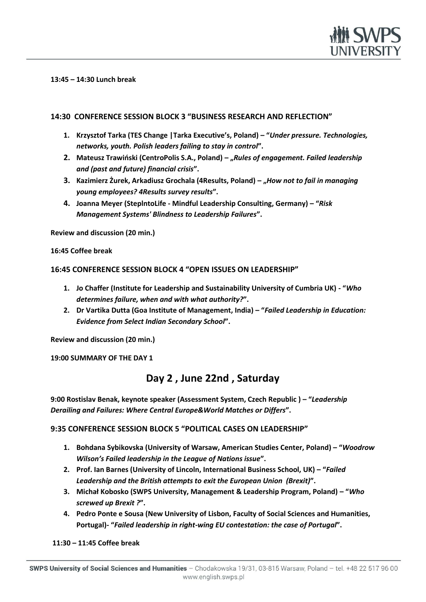

#### **13:45 – 14:30 Lunch break**

### **14:30 CONFERENCE SESSION BLOCK 3 "BUSINESS RESEARCH AND REFLECTION"**

- **1. Krzysztof Tarka (TES Change |Tarka Executive's, Poland) – "***Under pressure. Technologies, networks, youth. Polish leaders failing to stay in control***".**
- **2. Mateusz Trawiński (CentroPolis S.A., Poland) – "***Rules of engagement. Failed leadership and (past and future) financial crisis***".**
- **3. Kazimierz Żurek, Arkadiusz Grochala (4Results, Poland) – "***How not to fail in managing young employees? 4Results survey results***".**
- **4. Joanna Meyer (SteplntoLife - Mindful Leadership Consulting, Germany) – "***Risk Management Systems' Blindness to Leadership Failures***".**

**Review and discussion (20 min.)**

**16:45 Coffee break** 

**16:45 CONFERENCE SESSION BLOCK 4 "OPEN ISSUES ON LEADERSHIP"**

- **1. Jo Chaffer (Institute for Leadership and Sustainability University of Cumbria UK) - "***Who determines failure, when and with what authority?***".**
- **2. Dr Vartika Dutta (Goa Institute of Management, India) – "***Failed Leadership in Education: Evidence from Select Indian Secondary School***".**

**Review and discussion (20 min.)**

**19:00 SUMMARY OF THE DAY 1**

# **Day 2 , June 22nd , Saturday**

**9:00 Rostislav Benak, keynote speaker (Assessment System, Czech Republic ) – "***Leadership Derailing and Failures: Where Central Europe&World Matches or Differs***".**

#### **9:35 CONFERENCE SESSION BLOCK 5 "POLITICAL CASES ON LEADERSHIP"**

- **1. Bohdana Sybikovska (University of Warsaw, American Studies Center, Poland) – "***Woodrow Wilson's Failed leadership in the League of Nations issue***".**
- **2. Prof. Ian Barnes (University of Lincoln, International Business School, UK) – "***Failed Leadership and the British attempts to exit the European Union (Brexit)***".**
- **3. Michał Kobosko (SWPS University, Management & Leadership Program, Poland) – "***Who screwed up Brexit ?***".**
- **4. Pedro Ponte e Sousa (New University of Lisbon, Faculty of Social Sciences and Humanities, Portugal)- "***Failed leadership in right-wing EU contestation: the case of Portugal***".**

**11:30 – 11:45 Coffee break**